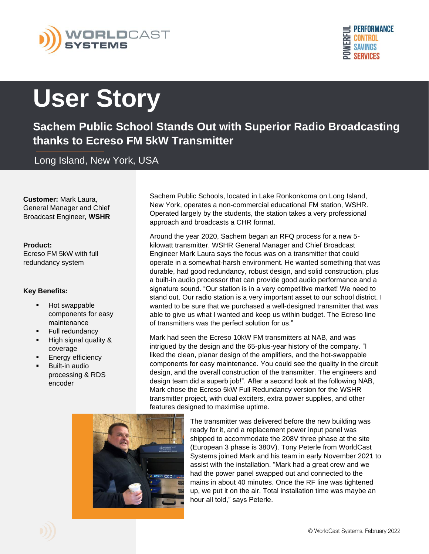



## **User Story**

**Sachem Public School Stands Out with Superior Radio Broadcasting thanks to Ecreso FM 5kW Transmitter**

Long Island, New York, USA

**Customer:** Mark Laura, General Manager and Chief Broadcast Engineer, **WSHR**

## **Product:**

Ecreso FM 5kW with full redundancy system

## **Key Benefits:**

- Hot swappable components for easy maintenance
- Full redundancy
- High signal quality & coverage
- **Energy efficiency**
- **Built-in audio** processing & RDS encoder

Sachem Public Schools, located in Lake Ronkonkoma on Long Island, New York, operates a non-commercial educational FM station, WSHR. Operated largely by the students, the station takes a very professional approach and broadcasts a CHR format.

Around the year 2020, Sachem began an RFQ process for a new 5 kilowatt transmitter. WSHR General Manager and Chief Broadcast Engineer Mark Laura says the focus was on a transmitter that could operate in a somewhat-harsh environment. He wanted something that was durable, had good redundancy, robust design, and solid construction, plus a built-in audio processor that can provide good audio performance and a signature sound. "Our station is in a very competitive market! We need to stand out. Our radio station is a very important asset to our school district. I wanted to be sure that we purchased a well-designed transmitter that was able to give us what I wanted and keep us within budget. The Ecreso line of transmitters was the perfect solution for us."

Mark had seen the Ecreso 10kW FM transmitters at NAB, and was intrigued by the design and the 65-plus-year history of the company. "I liked the clean, planar design of the amplifiers, and the hot-swappable components for easy maintenance. You could see the quality in the circuit design, and the overall construction of the transmitter. The engineers and design team did a superb job!". After a second look at the following NAB, Mark chose the Ecreso 5kW Full Redundancy version for the WSHR transmitter project, with dual exciters, extra power supplies, and other features designed to maximise uptime.



The transmitter was delivered before the new building was ready for it, and a replacement power input panel was shipped to accommodate the 208V three phase at the site (European 3 phase is 380V). Tony Peterle from WorldCast Systems joined Mark and his team in early November 2021 to assist with the installation. "Mark had a great crew and we had the power panel swapped out and connected to the mains in about 40 minutes. Once the RF line was tightened up, we put it on the air. Total installation time was maybe an hour all told," says Peterle.